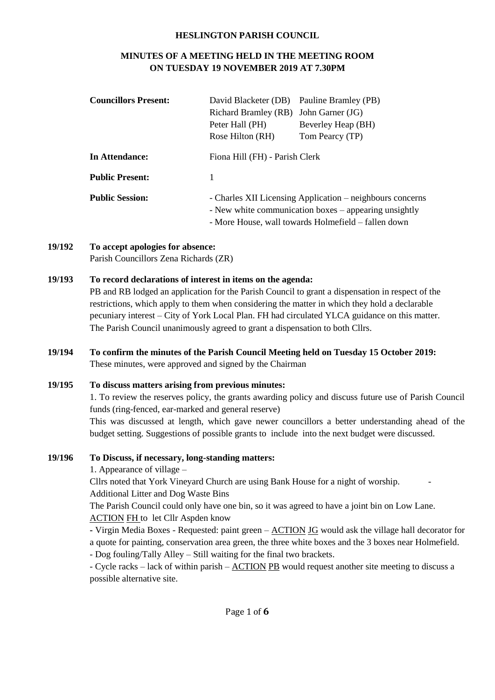#### **HESLINGTON PARISH COUNCIL**

# **MINUTES OF A MEETING HELD IN THE MEETING ROOM ON TUESDAY 19 NOVEMBER 2019 AT 7.30PM**

| <b>Councillors Present:</b> | David Blacketer (DB)                                      | Pauline Bramley (PB) |  |
|-----------------------------|-----------------------------------------------------------|----------------------|--|
|                             | Richard Bramley (RB)                                      | John Garner (JG)     |  |
|                             | Peter Hall (PH)                                           | Beverley Heap (BH)   |  |
|                             | Rose Hilton (RH)                                          | Tom Pearcy (TP)      |  |
| In Attendance:              | Fiona Hill (FH) - Parish Clerk                            |                      |  |
| <b>Public Present:</b>      |                                                           |                      |  |
| <b>Public Session:</b>      | - Charles XII Licensing Application – neighbours concerns |                      |  |
|                             | - New white communication boxes – appearing unsightly     |                      |  |
|                             | - More House, wall towards Holmefield – fallen down       |                      |  |

**19/192 To accept apologies for absence:**  Parish Councillors Zena Richards (ZR)

## **19/193 To record declarations of interest in items on the agenda:**

PB and RB lodged an application for the Parish Council to grant a dispensation in respect of the restrictions, which apply to them when considering the matter in which they hold a declarable pecuniary interest – City of York Local Plan. FH had circulated YLCA guidance on this matter. The Parish Council unanimously agreed to grant a dispensation to both Cllrs.

**19/194 To confirm the minutes of the Parish Council Meeting held on Tuesday 15 October 2019:** These minutes, were approved and signed by the Chairman

#### **19/195 To discuss matters arising from previous minutes:**

1. To review the reserves policy, the grants awarding policy and discuss future use of Parish Council funds (ring-fenced, ear-marked and general reserve)

This was discussed at length, which gave newer councillors a better understanding ahead of the budget setting. Suggestions of possible grants to include into the next budget were discussed.

#### **19/196 To Discuss, if necessary, long-standing matters:**

1. Appearance of village –

Cllrs noted that York Vineyard Church are using Bank House for a night of worship. - Additional Litter and Dog Waste Bins

The Parish Council could only have one bin, so it was agreed to have a joint bin on Low Lane. ACTION FH to let Cllr Aspden know

**-** Virgin Media Boxes - Requested: paint green – ACTION JG would ask the village hall decorator for a quote for painting, conservation area green, the three white boxes and the 3 boxes near Holmefield.

- Dog fouling/Tally Alley – Still waiting for the final two brackets.

- Cycle racks – lack of within parish – ACTION PB would request another site meeting to discuss a possible alternative site.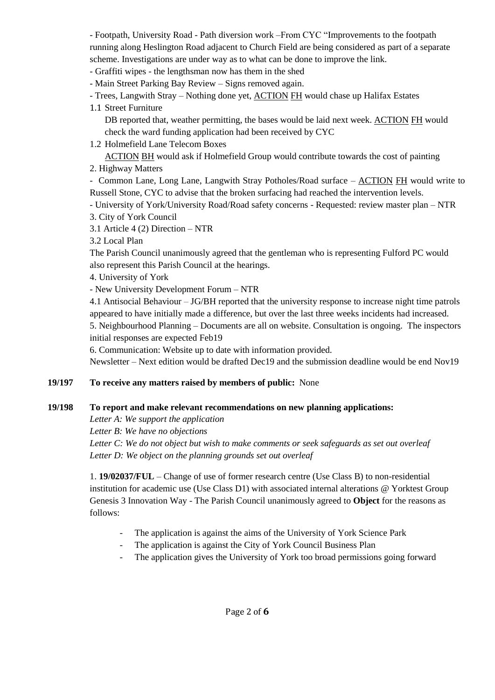- Footpath, University Road - Path diversion work –From CYC "Improvements to the footpath running along Heslington Road adjacent to Church Field are being considered as part of a separate scheme. Investigations are under way as to what can be done to improve the link.

- Graffiti wipes - the lengthsman now has them in the shed

- Main Street Parking Bay Review – Signs removed again.

- Trees, Langwith Stray – Nothing done yet, ACTION FH would chase up Halifax Estates

## 1.1 Street Furniture

DB reported that, weather permitting, the bases would be laid next week. ACTION FH would check the ward funding application had been received by CYC

1.2 Holmefield Lane Telecom Boxes

ACTION BH would ask if Holmefield Group would contribute towards the cost of painting

2. Highway Matters

- Common Lane, Long Lane, Langwith Stray Potholes/Road surface – ACTION FH would write to Russell Stone, CYC to advise that the broken surfacing had reached the intervention levels.

- University of York/University Road/Road safety concerns - Requested: review master plan – NTR

- 3. City of York Council
- 3.1 Article 4 (2) Direction NTR

3.2 Local Plan

The Parish Council unanimously agreed that the gentleman who is representing Fulford PC would also represent this Parish Council at the hearings.

4. University of York

- New University Development Forum – NTR

4.1 Antisocial Behaviour – JG/BH reported that the university response to increase night time patrols appeared to have initially made a difference, but over the last three weeks incidents had increased.

5. Neighbourhood Planning – Documents are all on website. Consultation is ongoing. The inspectors initial responses are expected Feb19

6. Communication: Website up to date with information provided.

Newsletter – Next edition would be drafted Dec19 and the submission deadline would be end Nov19

# **19/197 To receive any matters raised by members of public:** None

# **19/198 To report and make relevant recommendations on new planning applications:**

*Letter A: We support the application*

*Letter B: We have no objections*

*Letter C: We do not object but wish to make comments or seek safeguards as set out overleaf Letter D: We object on the planning grounds set out overleaf*

1. **19/02037/FUL** – Change of use of former research centre (Use Class B) to non-residential institution for academic use (Use Class D1) with associated internal alterations @ Yorktest Group Genesis 3 Innovation Way - The Parish Council unanimously agreed to **Object** for the reasons as follows:

- The application is against the aims of the University of York Science Park
- The application is against the City of York Council Business Plan
- The application gives the University of York too broad permissions going forward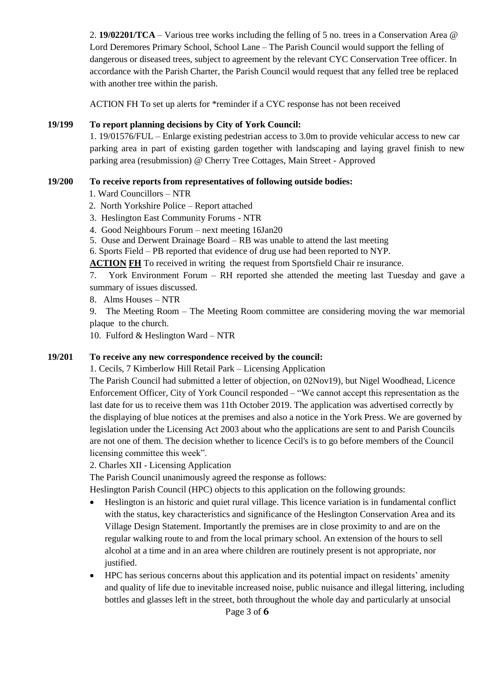2. **19/02201/TCA** – Various tree works including the felling of 5 no. trees in a Conservation Area @ Lord Deremores Primary School, School Lane – The Parish Council would support the felling of dangerous or diseased trees, subject to agreement by the relevant CYC Conservation Tree officer. In accordance with the Parish Charter, the Parish Council would request that any felled tree be replaced with another tree within the parish.

ACTION FH To set up alerts for \*reminder if a CYC response has not been received

#### **19/199 To report planning decisions by City of York Council:**

1. 19/01576/FUL – Enlarge existing pedestrian access to 3.0m to provide vehicular access to new car parking area in part of existing garden together with landscaping and laying gravel finish to new parking area (resubmission) @ Cherry Tree Cottages, Main Street - Approved

## **19/200 To receive reports from representatives of following outside bodies:**

- 1. Ward Councillors NTR
- 2. North Yorkshire Police Report attached
- 3. Heslington East Community Forums NTR
- 4. Good Neighbours Forum next meeting 16Jan20
- 5. Ouse and Derwent Drainage Board RB was unable to attend the last meeting
- 6. Sports Field PB reported that evidence of drug use had been reported to NYP.

**ACTION FH** To received in writing the request from Sportsfield Chair re insurance.

7. York Environment Forum – RH reported she attended the meeting last Tuesday and gave a summary of issues discussed.

8. Alms Houses – NTR

9. The Meeting Room – The Meeting Room committee are considering moving the war memorial plaque to the church.

10. Fulford & Heslington Ward – NTR

# **19/201 To receive any new correspondence received by the council:**

1. Cecils, 7 Kimberlow Hill Retail Park – Licensing Application

The Parish Council had submitted a letter of objection, on 02Nov19), but Nigel Woodhead, Licence Enforcement Officer, City of York Council responded – "We cannot accept this representation as the last date for us to receive them was 11th October 2019. The application was advertised correctly by the displaying of blue notices at the premises and also a notice in the York Press. We are governed by legislation under the Licensing Act 2003 about who the applications are sent to and Parish Councils are not one of them. The decision whether to licence Cecil's is to go before members of the Council licensing committee this week".

2. Charles XII - Licensing Application

The Parish Council unanimously agreed the response as follows:

Heslington Parish Council (HPC) objects to this application on the following grounds:

- Heslington is an historic and quiet rural village. This licence variation is in fundamental conflict with the status, key characteristics and significance of the Heslington Conservation Area and its Village Design Statement. Importantly the premises are in close proximity to and are on the regular walking route to and from the local primary school. An extension of the hours to sell alcohol at a time and in an area where children are routinely present is not appropriate, nor justified.
- HPC has serious concerns about this application and its potential impact on residents' amenity and quality of life due to inevitable increased noise, public nuisance and illegal littering, including bottles and glasses left in the street, both throughout the whole day and particularly at unsocial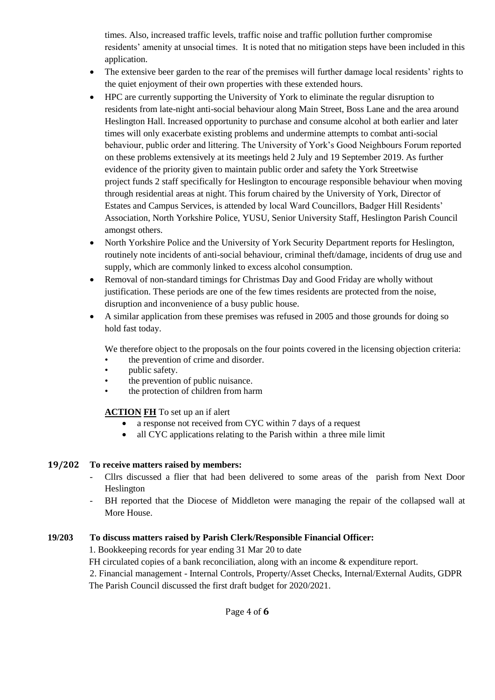times. Also, increased traffic levels, traffic noise and traffic pollution further compromise residents' amenity at unsocial times. It is noted that no mitigation steps have been included in this application.

- The extensive beer garden to the rear of the premises will further damage local residents' rights to the quiet enjoyment of their own properties with these extended hours.
- HPC are currently supporting the University of York to eliminate the regular disruption to residents from late-night anti-social behaviour along Main Street, Boss Lane and the area around Heslington Hall. Increased opportunity to purchase and consume alcohol at both earlier and later times will only exacerbate existing problems and undermine attempts to combat anti-social behaviour, public order and littering. The University of York's Good Neighbours Forum reported on these problems extensively at its meetings held 2 July and 19 September 2019. As further evidence of the priority given to maintain public order and safety the York Streetwise project funds 2 staff specifically for Heslington to encourage responsible behaviour when moving through residential areas at night. This forum chaired by the University of York, Director of Estates and Campus Services, is attended by local Ward Councillors, Badger Hill Residents' Association, North Yorkshire Police, YUSU, Senior University Staff, Heslington Parish Council amongst others.
- North Yorkshire Police and the University of York Security Department reports for Heslington, routinely note incidents of anti-social behaviour, criminal theft/damage, incidents of drug use and supply, which are commonly linked to excess alcohol consumption.
- Removal of non-standard timings for Christmas Day and Good Friday are wholly without justification. These periods are one of the few times residents are protected from the noise, disruption and inconvenience of a busy public house.
- A similar application from these premises was refused in 2005 and those grounds for doing so hold fast today.

We therefore object to the proposals on the four points covered in the licensing objection criteria:

- the prevention of crime and disorder.
- public safety.
- the prevention of public nuisance.
- the protection of children from harm

**ACTION FH** To set up an if alert

- a response not received from CYC within 7 days of a request
- all CYC applications relating to the Parish within a three mile limit

# **19/202 To receive matters raised by members:**

- Cllrs discussed a flier that had been delivered to some areas of the parish from Next Door Heslington
- BH reported that the Diocese of Middleton were managing the repair of the collapsed wall at More House.

#### **19/203 To discuss matters raised by Parish Clerk/Responsible Financial Officer:**

1. Bookkeeping records for year ending 31 Mar 20 to date

FH circulated copies of a bank reconciliation, along with an income & expenditure report.

2. Financial management - Internal Controls, Property/Asset Checks, Internal/External Audits, GDPR The Parish Council discussed the first draft budget for 2020/2021.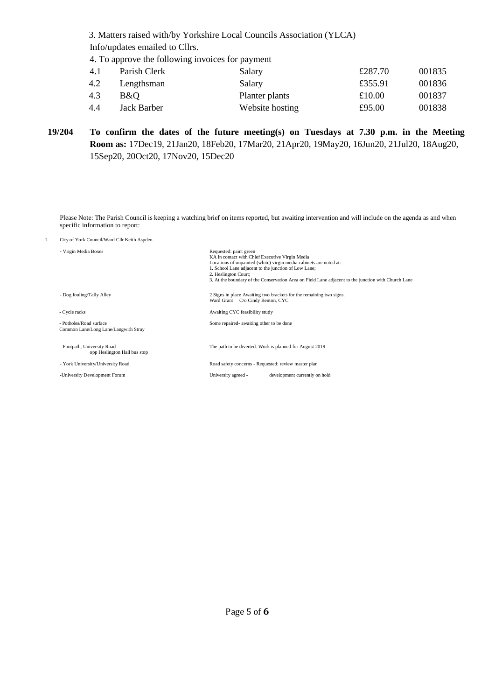3. Matters raised with/by Yorkshire Local Councils Association (YLCA) Info/updates emailed to Cllrs.

4. To approve the following invoices for payment

| Parish Clerk | Salary          | £287.70 | 001835 |
|--------------|-----------------|---------|--------|
| Lengthsman   | Salary          | £355.91 | 001836 |
| B&O          | Planter plants  | £10.00  | 001837 |
| Jack Barber  | Website hosting | £95.00  | 001838 |
|              |                 |         |        |

**19/204 To confirm the dates of the future meeting(s) on Tuesdays at 7.30 p.m. in the Meeting Room as:** 17Dec19, 21Jan20, 18Feb20, 17Mar20, 21Apr20, 19May20, 16Jun20, 21Jul20, 18Aug20, 15Sep20, 20Oct20, 17Nov20, 15Dec20

Please Note: The Parish Council is keeping a watching brief on items reported, but awaiting intervention and will include on the agenda as and when specific information to report:

1. City of York Council/Ward Cllr Keith Aspden

| - Virgin Media Boxes                                            | Requested: paint green<br>KA in contact with Chief Executive Virgin Media<br>Locations of unpainted (white) virgin media cabinets are noted at:<br>1. School Lane adjacent to the junction of Low Lane;<br>2. Heslington Court;<br>3. At the boundary of the Conservation Area on Field Lane adjacent to the junction with Church Lane |
|-----------------------------------------------------------------|----------------------------------------------------------------------------------------------------------------------------------------------------------------------------------------------------------------------------------------------------------------------------------------------------------------------------------------|
| - Dog fouling/Tally Alley                                       | 2 Signs in place Awaiting two brackets for the remaining two signs.<br>Ward Grant C/o Cindy Benton, CYC                                                                                                                                                                                                                                |
| - Cycle racks                                                   | Awaiting CYC feasibility study                                                                                                                                                                                                                                                                                                         |
| - Potholes/Road surface<br>Common Lane/Long Lane/Langwith Stray | Some repaired- awaiting other to be done                                                                                                                                                                                                                                                                                               |
| - Footpath, University Road<br>opp Heslington Hall bus stop     | The path to be diverted. Work is planned for August 2019                                                                                                                                                                                                                                                                               |
| - York University/University Road                               | Road safety concerns - Requested: review master plan                                                                                                                                                                                                                                                                                   |
| -University Development Forum                                   | University agreed -<br>development currently on hold                                                                                                                                                                                                                                                                                   |